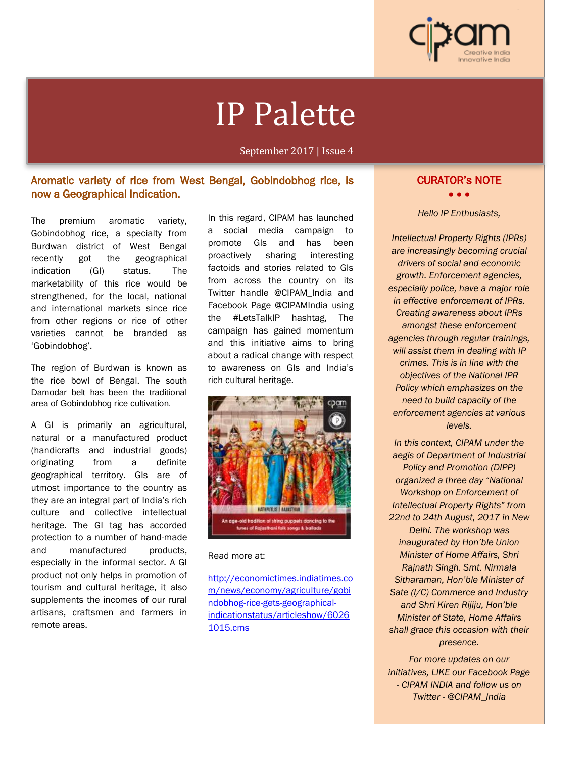

# IP Palette

September 2017 | Issue 4

# Aromatic variety of rice from West Bengal, Gobindobhog rice, is now a Geographical Indication.

The premium aromatic variety, Gobindobhog rice, a specialty from Burdwan district of West Bengal recently got the geographical indication (GI) status. The marketability of this rice would be strengthened, for the local, national and international markets since rice from other regions or rice of other varieties cannot be branded as 'Gobindobhog'.

Ĩ

The region of Burdwan is known as the rice bowl of Bengal. The south Damodar belt has been the traditional area of Gobindobhog rice cultivation.

A GI is primarily an agricultural, natural or a manufactured product (handicrafts and industrial goods) originating from a definite geographical territory. GIs are of utmost importance to the country as they are an integral part of India's rich culture and collective intellectual heritage. The GI tag has accorded protection to a number of hand-made and manufactured products. especially in the informal sector. A GI product not only helps in promotion of tourism and cultural heritage, it also supplements the incomes of our rural artisans, craftsmen and farmers in remote areas.

In this regard, CIPAM has launched a social media campaign to promote GIs and has been proactively sharing interesting factoids and stories related to GIs from across the country on its Twitter handle @CIPAM\_India and Facebook Page @CIPAMIndia using the #LetsTalkIP hashtag, The campaign has gained momentum and this initiative aims to bring about a radical change with respect to awareness on GIs and India's rich cultural heritage.



#### Read more at:

http://economictimes.indiatimes.co m/news/economy/agriculture/gobi ndobhog-rice-gets-geographicalindicationstatus/articleshow/6026 1015.cms

# CURATOR's NOTE

• • •

#### *Hello IP Enthusiasts,*

*Intellectual Property Rights (IPRs) are increasingly becoming crucial drivers of social and economic growth. Enforcement agencies, especially police, have a major role in effective enforcement of IPRs. Creating awareness about IPRs amongst these enforcement agencies through regular trainings, will assist them in dealing with IP crimes. This is in line with the objectives of the National IPR Policy which emphasizes on the need to build capacity of the enforcement agencies at various levels.*

*In this context, CIPAM under the aegis of Department of Industrial Policy and Promotion (DIPP) organized a three day "National Workshop on Enforcement of Intellectual Property Rights" from 22nd to 24th August, 2017 in New Delhi. The workshop was inaugurated by Hon'ble Union Minister of Home Affairs, Shri Rajnath Singh. Smt. Nirmala Sitharaman, Hon'ble Minister of Sate (I/C) Commerce and Industry and Shri Kiren Rijiju, Hon'ble Minister of State, Home Affairs shall grace this occasion with their presence.*

*For more updates on our initiatives, LIKE our Facebook Page - CIPAM INDIA and follow us on Twitter - @CIPAM\_India*